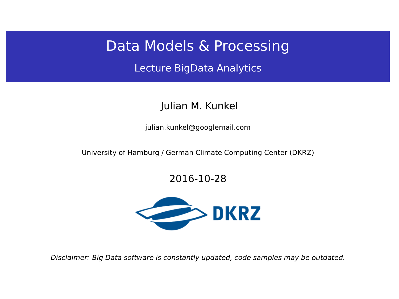## Data Models & Processing

Lecture BigData Analytics

### Julian M. Kunkel

<julian.kunkel@googlemail.com>

University of Hamburg / German Climate Computing Center (DKRZ)

### 2016-10-28



Disclaimer: Big Data software is constantly updated, code samples may be outdated.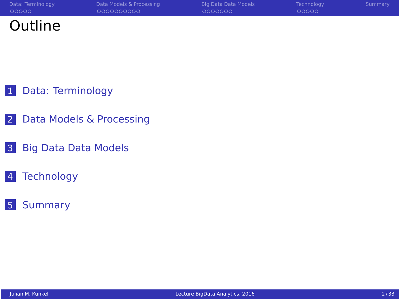| Data: Terminology | Data Models & Processing | Big Data Data Models | Technology | Summary |
|-------------------|--------------------------|----------------------|------------|---------|
| 00000             | 0000000000               | 0000000              | 00000      |         |
| Outline           |                          |                      |            |         |

[Data: Terminology](#page-2-0)

- [Data Models & Processing](#page-7-0)
- [Big Data Data Models](#page-18-0)
- [Technology](#page-26-0)
- [Summary](#page-32-0)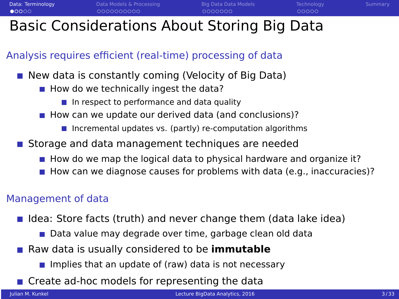## <span id="page-2-0"></span>Basic Considerations About Storing Big Data

### Analysis requires efficient (real-time) processing of data

- New data is constantly coming (Velocity of Big Data)
	- $\blacksquare$  How do we technically ingest the data?
		- $\blacksquare$  In respect to performance and data quality
	- $\blacksquare$  How can we update our derived data (and conclusions)?
		- Incremental updates vs. (partly) re-computation algorithms
- **Storage and data management techniques are needed** 
	- $\blacksquare$  How do we map the logical data to physical hardware and organize it?
	- How can we diagnose causes for problems with data (e.g., inaccuracies)?

### Management of data

- I Idea: Store facts (truth) and never change them (data lake idea)
	- Data value may degrade over time, garbage clean old data
- Raw data is usually considered to be **immutable** 
	- Implies that an update of (raw) data is not necessary
- Create ad-hoc models for representing the data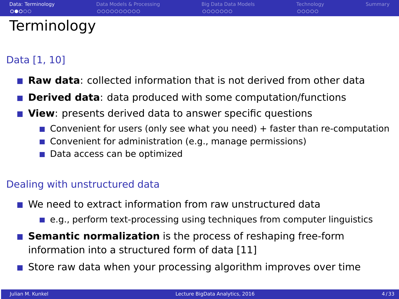| Data: Terminology | Data Models & Processing | Big Data Data Models | Technology | Summary |
|-------------------|--------------------------|----------------------|------------|---------|
| 00000             | 0000000000               | 0000000              | 00000      |         |
| Terminology       |                          |                      |            |         |

### Data [1, 10]

- **Raw data**: collected information that is not derived from other data
- **Derived data**: data produced with some computation/functions
- **View**: presents derived data to answer specific questions
	- **Convenient for users (only see what you need)**  $+$  faster than re-computation
	- Convenient for administration (e.g., manage permissions)
	- Data access can be optimized

### Dealing with unstructured data

- We need to extract information from raw unstructured data
	- $\blacksquare$  e.g., perform text-processing using techniques from computer linguistics
- **Semantic normalization** is the process of reshaping free-form information into a structured form of data [11]
- **Store raw data when your processing algorithm improves over time**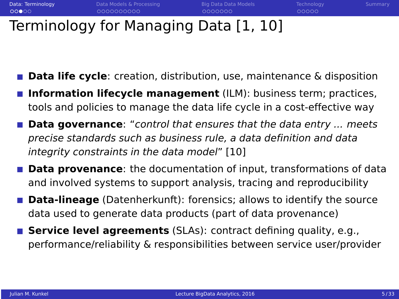**[Data: Terminology](#page-2-0) Philippino Big Data Data Data Models Data Models [Technology](#page-26-0) [Summary](#page-32-0)** Summary  $0000000$ 00000

## Terminology for Managing Data [1, 10]

- **Data life cycle**: creation, distribution, use, maintenance & disposition
- **Information lifecycle management** (ILM): business term; practices, tools and policies to manage the data life cycle in a cost-effective way
- **Data governance**: "control that ensures that the data entry ... meets precise standards such as business rule, a data definition and data integrity constraints in the data model" [10]
- **Data provenance**: the documentation of input, transformations of data and involved systems to support analysis, tracing and reproducibility
- **Data-lineage** (Datenherkunft): forensics; allows to identify the source data used to generate data products (part of data provenance)
- **Service level agreements** (SLAs): contract defining quality, e.g., performance/reliability & responsibilities between service user/provider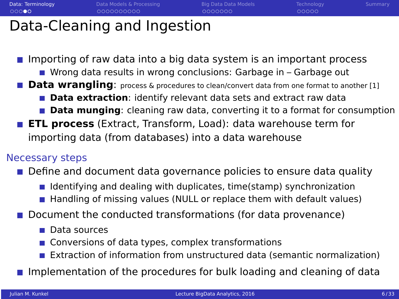| Data: Terminology | Data Models & Processing    | Big Data Data Models | Technology | Summary |
|-------------------|-----------------------------|----------------------|------------|---------|
| 00000             | 0000000000                  | 0000000              | 00000      |         |
|                   | Data-Cleaning and Ingestion |                      |            |         |

**Importing of raw data into a big data system is an important process** 

- Wrong data results in wrong conclusions: Garbage in Garbage out
- **Data wrangling**: process & procedures to clean/convert data from one format to another [1]
	- **Data extraction**: identify relevant data sets and extract raw data
	- **Data munging**: cleaning raw data, converting it to a format for consumption
- **ETL process** (Extract, Transform, Load): data warehouse term for importing data (from databases) into a data warehouse

### Necessary steps

- **Define and document data governance policies to ensure data quality** 
	- I Identifying and dealing with duplicates, time(stamp) synchronization
	- Handling of missing values (NULL or replace them with default values)
- **Dearmal Departa Departm** Document Document the conducted transformations (for data provenance)
	- **Data sources**
	- Conversions of data types, complex transformations
	- **Extraction of information from unstructured data (semantic normalization)**
- **Implementation of the procedures for bulk loading and cleaning of data**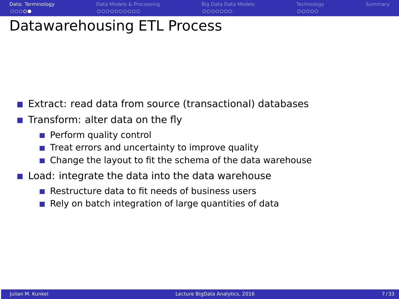## Datawarehousing ETL Process

- Extract: read data from source (transactional) databases
- **Transform: alter data on the fly** 
	- **Perform quality control**
	- Treat errors and uncertainty to improve quality
	- Change the layout to fit the schema of the data warehouse
- **Load: integrate the data into the data warehouse** 
	- $\blacksquare$  Restructure data to fit needs of business users
	- Rely on batch integration of large quantities of data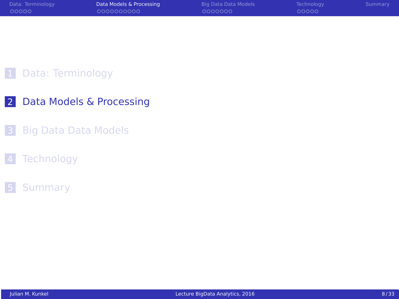<span id="page-7-0"></span>

| Data: Terminology | Data Models & Processing | Big Data Data Models | Technology | Summary |
|-------------------|--------------------------|----------------------|------------|---------|
| 00000             | 0000000000               | 0000000              | 00000      |         |
|                   |                          |                      |            |         |

### [Data: Terminology](#page-2-0)

- [Data Models & Processing](#page-7-0)
- [Big Data Data Models](#page-18-0)
- [Technology](#page-26-0)

### [Summary](#page-32-0)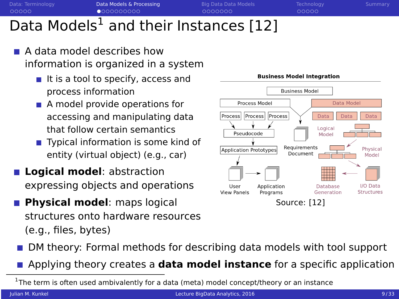## Data Models<sup>1</sup> and their Instances [12]

- A data model describes how information is organized in a system
	- $\blacksquare$  It is a tool to specify, access and process information
	- A model provide operations for accessing and manipulating data that follow certain semantics
	- Typical information is some kind of entity (virtual object) (e.g., car)
- **Logical model**: abstraction expressing objects and operations
- **Physical model**: maps logical structures onto hardware resources (e.g., files, bytes)



- DM theory: Formal methods for describing data models with tool support
- Applying theory creates a **data model instance** for a specific application

 $^1$ The term is often used ambivalently for a data (meta) model concept/theory or an instance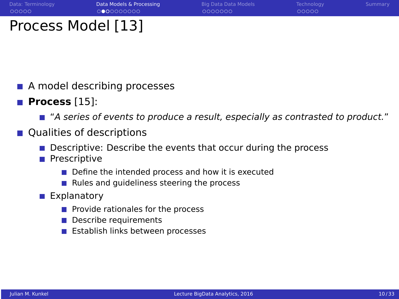0000000

00000

## Process Model [13]

- A model describing processes
- **Process** [15]:
	- "A series of events to produce a result, especially as contrasted to product."
- Qualities of descriptions
	- Descriptive: Describe the events that occur during the process
	- **Prescriptive** 
		- Define the intended process and how it is executed
		- $\blacksquare$  Rules and quideliness steering the process
	- **Explanatory** 
		- $\blacksquare$  Provide rationales for the process
		- **Describe requirements**
		- **Example 1** Establish links between processes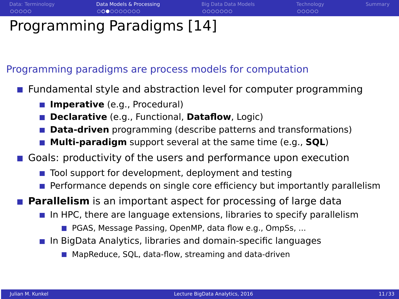00000

## Programming Paradigms [14]

Programming paradigms are process models for computation

Fundamental style and abstraction level for computer programming

- **Imperative** (e.g., Procedural)
- **Declarative** (e.g., Functional, **Dataflow**, Logic)
- **Data-driven** programming (describe patterns and transformations)
- **Multi-paradigm** support several at the same time (e.g., **SQL**)
- Goals: productivity of the users and performance upon execution
	- $\blacksquare$  Tool support for development, deployment and testing
	- Performance depends on single core efficiency but importantly parallelism

**Parallelism** is an important aspect for processing of large data

- $\blacksquare$  In HPC, there are language extensions, libraries to specify parallelism
	- **PGAS, Message Passing, OpenMP, data flow e.g., OmpSs, ...**
- **In BigData Analytics, libraries and domain-specific languages** 
	- MapReduce, SOL, data-flow, streaming and data-driven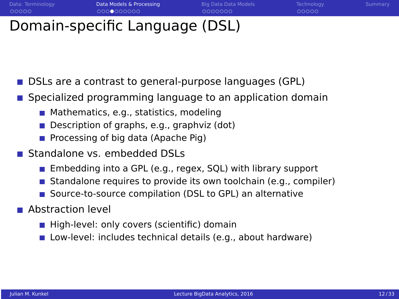$0000000$ 

00000

## Domain-specific Language (DSL)

- DSLs are a contrast to general-purpose languages (GPL)
- Specialized programming language to an application domain
	- $\blacksquare$  Mathematics, e.g., statistics, modeling
	- Description of graphs, e.g., graphviz (dot)
	- **Processing of big data (Apache Pig)**
- Standalone vs. embedded DSLs
	- Embedding into a GPL (e.g., regex, SQL) with library support
	- Standalone requires to provide its own toolchain (e.g., compiler)
	- Source-to-source compilation (DSL to GPL) an alternative  $\mathcal{L}_{\mathcal{A}}$
- **Abstraction level** 
	- $\blacksquare$  High-level: only covers (scientific) domain
	- **Low-level: includes technical details (e.g., about hardware)**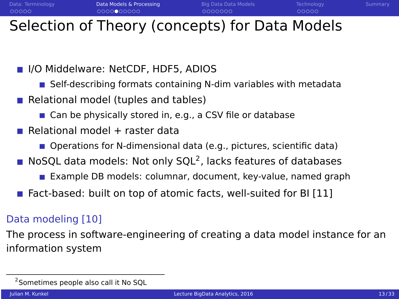0000000

## Selection of Theory (concepts) for Data Models

**III** I/O Middelware: NetCDF, HDF5, ADIOS

- $\blacksquare$  Self-describing formats containing N-dim variables with metadata
- Relational model (tuples and tables)
	- Can be physically stored in, e.g., a CSV file or database
- Relational model  $+$  raster data
	- Operations for N-dimensional data (e.g., pictures, scientific data)
- NoSQL data models: Not only SQL<sup>2</sup>, lacks features of databases
	- Example DB models: columnar, document, key-value, named graph
- Fact-based: built on top of atomic facts, well-suited for BI [11]

### Data modeling [10]

The process in software-engineering of creating a data model instance for an information system

<sup>&</sup>lt;sup>2</sup> Sometimes people also call it No SQL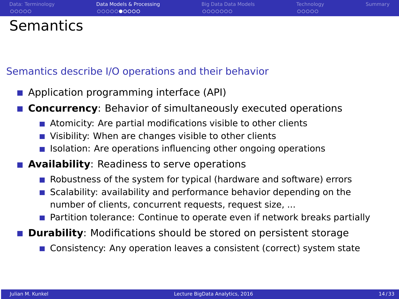| Data: Terminology | Data Models & Processing | Big Data Data Models | Technology | Summary |
|-------------------|--------------------------|----------------------|------------|---------|
| 00000             | 0000000000               | 0000000              | 00000      |         |
| <b>Semantics</b>  |                          |                      |            |         |

### Semantics describe I/O operations and their behavior

- **Application programming interface (API)**
- **Concurrency**: Behavior of simultaneously executed operations
	- Atomicity: Are partial modifications visible to other clients
	- Visibility: When are changes visible to other clients
	- **Isolation:** Are operations influencing other ongoing operations

### **Availability**: Readiness to serve operations

- Robustness of the system for typical (hardware and software) errors
- Scalability: availability and performance behavior depending on the number of clients, concurrent requests, request size, ...
- **Partition tolerance: Continue to operate even if network breaks partially**
- **Durability:** Modifications should be stored on persistent storage
	- **Consistency: Any operation leaves a consistent (correct) system state**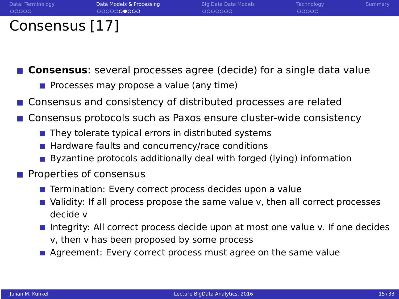| Data: Terminology | Data Models & Processing | Big Data Data Models | Technology | Summary |
|-------------------|--------------------------|----------------------|------------|---------|
| 00000             | 0000000000               | 0000000              | 00000      |         |
| Consensus [17]    |                          |                      |            |         |

**Consensus**: several processes agree (decide) for a single data value

- **Processes may propose a value (any time)**
- **Consensus and consistency of distributed processes are related**
- Consensus protocols such as Paxos ensure cluster-wide consistency
	- $\blacksquare$  They tolerate typical errors in distributed systems
	- $\blacksquare$  Hardware faults and concurrency/race conditions
	- Byzantine protocols additionally deal with forged (lying) information
- $\blacksquare$  Properties of consensus
	- Termination: Every correct process decides upon a value
	- Validity: If all process propose the same value v, then all correct processes decide v
	- **Integrity:** All correct process decide upon at most one value v. If one decides v, then v has been proposed by some process
	- Agreement: Every correct process must agree on the same value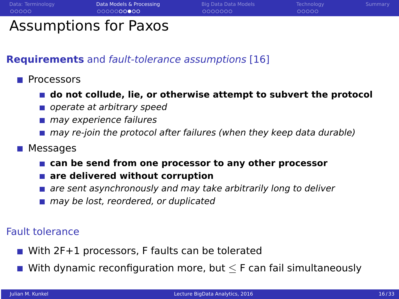| Data Models & Processing<br>Big Data Data Models<br>Data: Terminology<br>Technology<br>00000<br>0000000000<br>0000000<br>00000 |         |
|--------------------------------------------------------------------------------------------------------------------------------|---------|
|                                                                                                                                | Summary |
|                                                                                                                                |         |

## Assumptions for Paxos

### **Requirements** and fault-tolerance assumptions [16]

- Processors
	- **do not collude, lie, or otherwise attempt to subvert the protocol**
	- operate at arbitrary speed
	- may experience failures
	- may re-join the protocol after failures (when they keep data durable)
- Messages
	- **can be send from one processor to any other processor**
	- are delivered without corruption
	- **a** are sent asynchronously and may take arbitrarily long to deliver
	- may be lost, reordered, or duplicated

### Fault tolerance

- With 2F+1 processors, F faults can be tolerated
- With dynamic reconfiguration more, but  $\leq$  F can fail simultaneously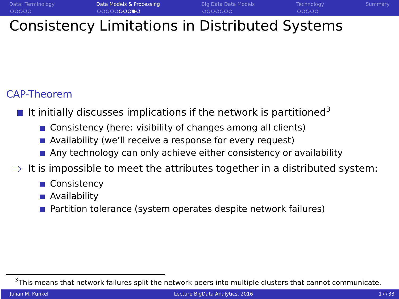[Data: Terminology](#page-2-0) **[Data Models & Processing](#page-7-0) Pick [Big Data Data Models](#page-18-0) [Technology](#page-26-0) [Summary](#page-32-0)** Summary Consistency Limitations in Distributed Systems

### CAP-Theorem

- It initially discusses implications if the network is partitioned<sup>3</sup>
	- Consistency (here: visibility of changes among all clients)
	- **Availability (we'll receive a response for every request)**
	- **Any technology can only achieve either consistency or availability**
- $\Rightarrow$  It is impossible to meet the attributes together in a distributed system:
	- **Consistency**
	- **Availability**
	- Partition tolerance (system operates despite network failures)

 ${}^{3}$ This means that network failures split the network peers into multiple clusters that cannot communicate.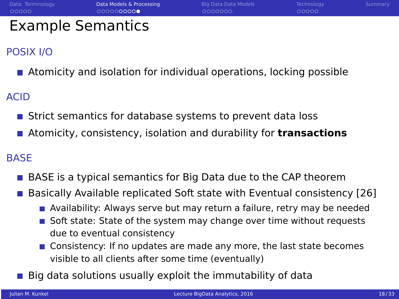### POSIX I/O

**Atomicity and isolation for individual operations, locking possible** 

ACID

- Strict semantics for database systems to prevent data loss
- Atomicity, consistency, isolation and durability for **transactions**

### **BASE**

- BASE is a typical semantics for Big Data due to the CAP theorem
- Basically Available replicated Soft state with Eventual consistency [26]
	- **Availability: Always serve but may return a failure, retry may be needed**
	- Soft state: State of the system may change over time without requests due to eventual consistency
	- **Consistency:** If no updates are made any more, the last state becomes visible to all clients after some time (eventually)
- Big data solutions usually exploit the immutability of data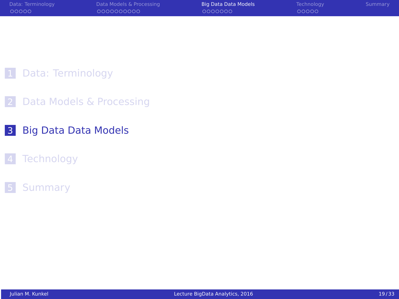<span id="page-18-0"></span>

| Data: Terminology | Data Models & Processing | Big Data Data Models | Technology | Summary |
|-------------------|--------------------------|----------------------|------------|---------|
| 00000             | 0000000000               | 0000000              | 00000      |         |
|                   |                          |                      |            |         |

### [Data: Terminology](#page-2-0)

- [Data Models & Processing](#page-7-0)
- [Big Data Data Models](#page-18-0)

### [Technology](#page-26-0)

### [Summary](#page-32-0)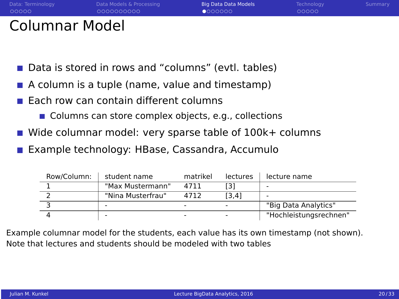| Data: Terminology     | Data Models & Processing | Big Data Data Models | Technology | Summary |
|-----------------------|--------------------------|----------------------|------------|---------|
| 00000                 | 0000000000               | 0000000              | 00000      |         |
| <b>Columnar Model</b> |                          |                      |            |         |

- **Data is stored in rows and "columns" (evtl. tables)**
- $\blacksquare$  A column is a tuple (name, value and timestamp)
- Each row can contain different columns
	- Columns can store complex objects, e.g., collections
- Wide columnar model: very sparse table of 100k+ columns
- Example technology: HBase, Cassandra, Accumulo

| Row/Column: | student name      | matrikel | <b>lectures</b> | lecture name           |
|-------------|-------------------|----------|-----------------|------------------------|
|             | "Max Mustermann"  | 4711     | [3]             |                        |
|             | "Nina Musterfrau" | 4712     | [3.4]           |                        |
|             |                   |          |                 | "Big Data Analytics"   |
|             |                   |          |                 | "Hochleistungsrechnen" |

Example columnar model for the students, each value has its own timestamp (not shown). Note that lectures and students should be modeled with two tables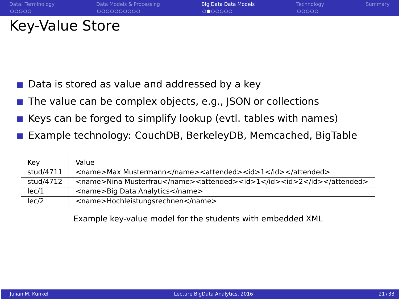| Data: Terminology | Data Models & Processing | Big Data Data Models | Technology | Summary |
|-------------------|--------------------------|----------------------|------------|---------|
| 00000             | 0000000000               | 0000000              | 00000      |         |
| Key-Value Store   |                          |                      |            |         |

- Data is stored as value and addressed by a key
- The value can be complex objects, e.g., JSON or collections **I**
- Keys can be forged to simplify lookup (evtl. tables with names)  $\sim$
- Example technology: CouchDB, BerkeleyDB, Memcached, BigTable

| Key       | Value                                                                  |
|-----------|------------------------------------------------------------------------|
| stud/4711 | <name>Max Mustermann</name> <attended><id>1</id></attended>            |
| stud/4712 | <name>Nina Musterfrau</name> <attended><id>1</id><id>2</id></attended> |
| lec/1     | <name>Big Data Analytics</name>                                        |
| lec/2     | <name>Hochleistungsrechnen</name>                                      |

Example key-value model for the students with embedded XML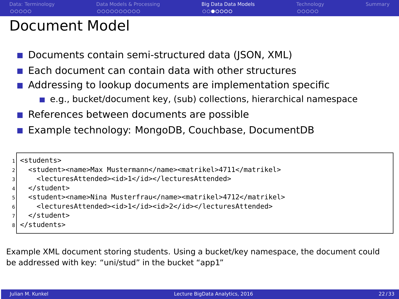## Document Model

- Documents contain semi-structured data (JSON, XML)
- $\blacksquare$  Each document can contain data with other structures
- Addressing to lookup documents are implementation specific
	- e.g., bucket/document key, (sub) collections, hierarchical namespace
- References between documents are possible
- Example technology: MongoDB, Couchbase, DocumentDB

```
<students>
  2 <student><name>Max Mustermann</name><matrikel>4711</matrikel>
    3 <lecturesAttended><id>1</id></lecturesAttended>
 4 </student>
 5 <student><name>Nina Musterfrau</name><matrikel>4712</matrikel>
    6 <lecturesAttended><id>1</id><id>2</id></lecturesAttended>
  7 </student>
8 </students>
```
Example XML document storing students. Using a bucket/key namespace, the document could be addressed with key: "uni/stud" in the bucket "app1"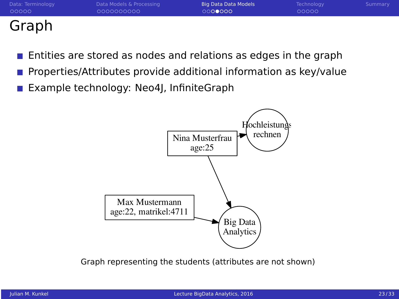| $\sim$ $\sim$ $\sim$ $\sim$ |                          |                      |            |         |
|-----------------------------|--------------------------|----------------------|------------|---------|
| Data: Terminology           | Data Models & Processing | Big Data Data Models | Technology | Summary |
| 00000                       | 0000000000               | 0000000              | 00000      |         |

### Graph

- Entities are stored as nodes and relations as edges in the graph
- Properties/Attributes provide additional information as key/value
- Example technology: Neo4J, InfiniteGraph



Graph representing the students (attributes are not shown)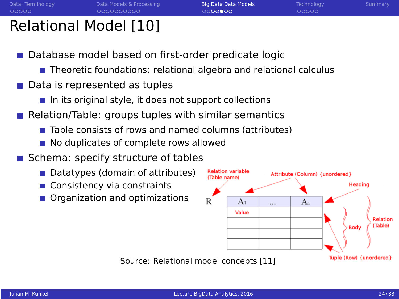## Relational Model [10]

- Database model based on first-order predicate logic
	- **Theoretic foundations: relational algebra and relational calculus**
- Data is represented as tuples
	- $\blacksquare$  In its original style, it does not support collections
- Relation/Table: groups tuples with similar semantics
	- Table consists of rows and named columns (attributes)
	- No duplicates of complete rows allowed
- Schema: specify structure of tables
	- Datatypes (domain of attributes)
	- Consistency via constraints
	- Organization and optimizations

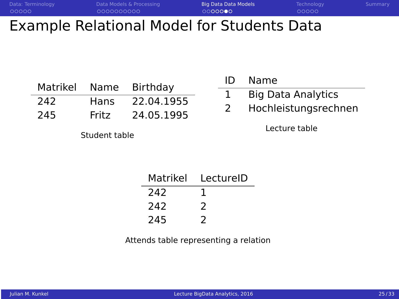| Data: Terminology | Data Models & Processing                   | Big Data Data Models | Technology | Summary |
|-------------------|--------------------------------------------|----------------------|------------|---------|
| 00000             | 0000000000                                 | 0000000              | 00000      |         |
|                   | Example Relational Model for Students Data |                      |            |         |

| Matrikel | Name  | Birthday   |
|----------|-------|------------|
| 242.     | Hans  | 22.04.1955 |
| 245      | Fritz | 24.05.1995 |

Student table

| ID | Name                      |
|----|---------------------------|
|    | <b>Big Data Analytics</b> |
| 2  | Hochleistungsrechnen      |

Lecture table

| Matrikel | LectureID |
|----------|-----------|
| 242      |           |
| 242      | 2         |
| 245      | 2         |

Attends table representing a relation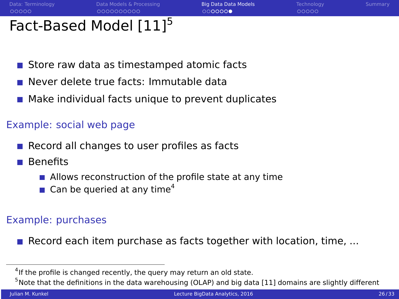$0000000$ 

00000

## Fact-Based Model [11]<sup>5</sup>

- Store raw data as timestamped atomic facts
- Never delete true facts: Immutable data
- **Make individual facts unique to prevent duplicates**

### Example: social web page

- $\blacksquare$  Record all changes to user profiles as facts
- Benefits
	- $\blacksquare$  Allows reconstruction of the profile state at any time
	- $\blacksquare$  Can be queried at any time<sup>4</sup>

### Example: purchases

Record each item purchase as facts together with location, time,  $\dots$ 

<sup>&</sup>lt;sup>4</sup>If the profile is changed recently, the query may return an old state.

 $5$  Note that the definitions in the data warehousing (OLAP) and big data [11] domains are slightly different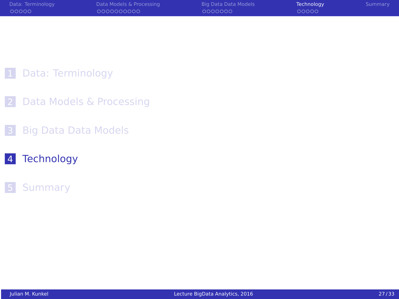<span id="page-26-0"></span>

| Data: Terminology | Data Models & Processing | Big Data Data Models | Technology | Summary |
|-------------------|--------------------------|----------------------|------------|---------|
| 00000             | 0000000000               | 0000000              | 00000      |         |
|                   |                          |                      |            |         |

### [Data: Terminology](#page-2-0)

- [Data Models & Processing](#page-7-0)
- [Big Data Data Models](#page-18-0)

### [Technology](#page-26-0)

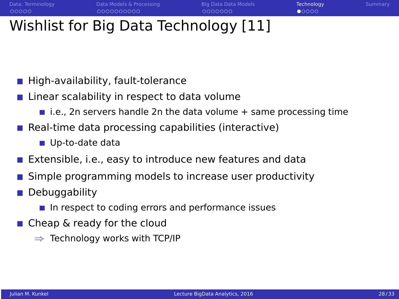## Wishlist for Big Data Technology [11]

- High-availability, fault-tolerance
- $\blacksquare$  Linear scalability in respect to data volume
	- i.e., 2n servers handle 2n the data volume  $+$  same processing time
- $\blacksquare$  Real-time data processing capabilities (interactive)
	- Up-to-date data
- Extensible, i.e., easy to introduce new features and data
- Simple programming models to increase user productivity
- **Debuggability** 
	- $\blacksquare$  In respect to coding errors and performance issues
- Cheap & ready for the cloud
	- $\Rightarrow$  Technology works with TCP/IP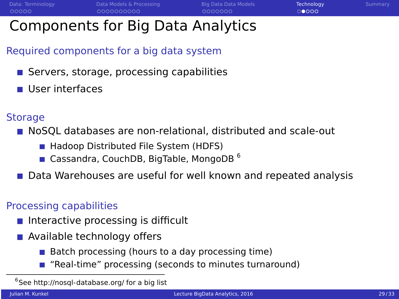## Components for Big Data Analytics

### Required components for a big data system

- Servers, storage, processing capabilities
- User interfaces

### **Storage**

**NoSOL** databases are non-relational, distributed and scale-out

- Hadoop Distributed File System (HDFS)
- Gassandra, CouchDB, BigTable, MongoDB<sup>6</sup>

### Data Warehouses are useful for well known and repeated analysis

### Processing capabilities

- $\blacksquare$  Interactive processing is difficult
- **Available technology offers** 
	- $\blacksquare$  Batch processing (hours to a day processing time)
	- "Real-time" processing (seconds to minutes turnaround)

<sup>6</sup>See<http://nosql-database.org/> for a big list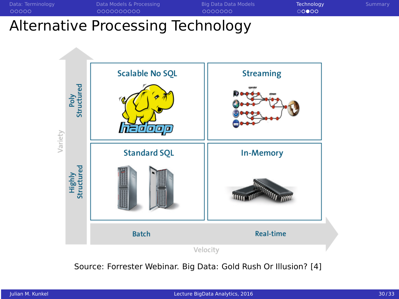

# Alternative Processing Technology



Source: Forrester Webinar. Big Data: Gold Rush Or Illusion? [4]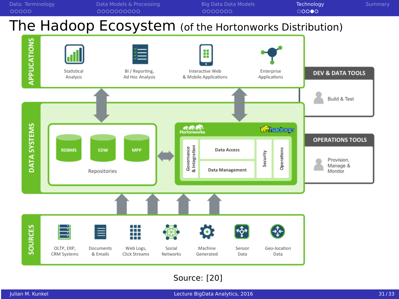

Source: [20]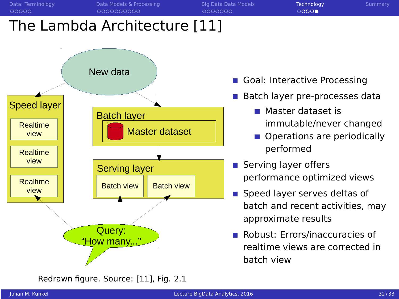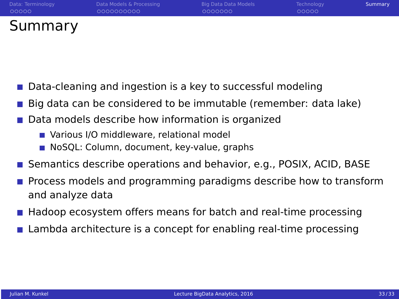<span id="page-32-0"></span>

| Data: Terminology | Data Models & Processing | Big Data Data Models | Technology | Summary |
|-------------------|--------------------------|----------------------|------------|---------|
| 00000             | 0000000000               | 0000000              | 00000      |         |
| Summary           |                          |                      |            |         |

- Data-cleaning and ingestion is a key to successful modeling
- Big data can be considered to be immutable (remember: data lake)
- **Data models describe how information is organized** 
	- **Nombar 20 Middleware, relational model**
	- NoSQL: Column, document, key-value, graphs
- **Semantics describe operations and behavior, e.g., POSIX, ACID, BASE**
- **Process models and programming paradigms describe how to transform** and analyze data
- **Headoop ecosystem offers means for batch and real-time processing**
- **Lambda architecture is a concept for enabling real-time processing**